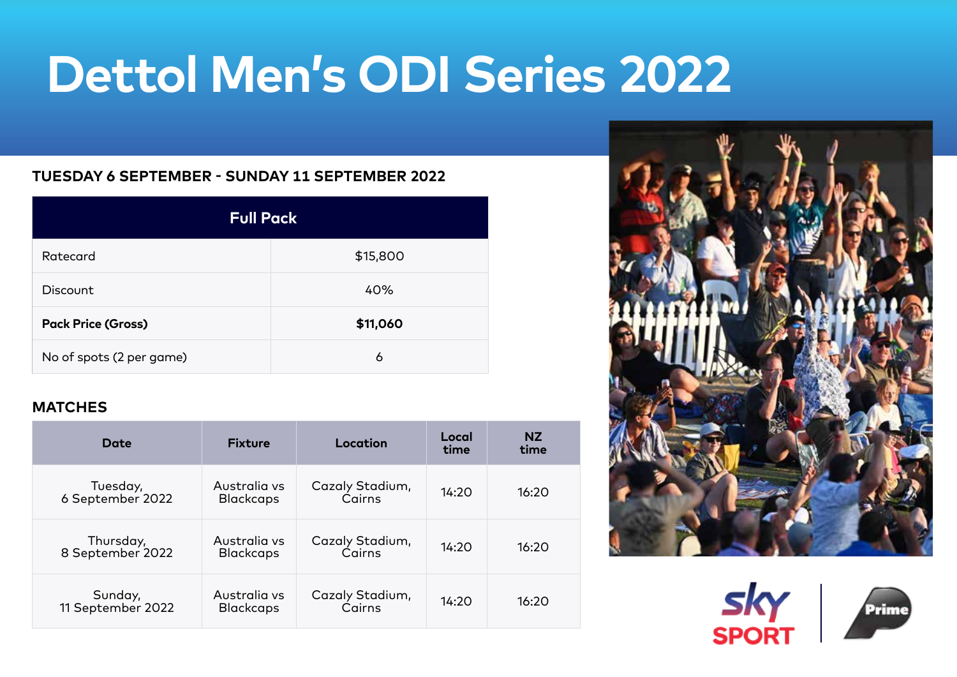# **Dettol Men's ODI Series 2022**

### **TUESDAY 6 SEPTEMBER - SUNDAY 11 SEPTEMBER 2022**

| <b>Full Pack</b>          |          |  |  |  |
|---------------------------|----------|--|--|--|
| Ratecard                  | \$15,800 |  |  |  |
| Discount                  | 40%      |  |  |  |
| <b>Pack Price (Gross)</b> | \$11,060 |  |  |  |
| No of spots (2 per game)  | 6        |  |  |  |

## **MATCHES**

| Date                          | <b>Fixture</b>                   | Location                  | Local<br>time | <b>NZ</b><br>time |
|-------------------------------|----------------------------------|---------------------------|---------------|-------------------|
| Tuesday,<br>6 September 2022  | Australia vs<br><b>Blackcaps</b> | Cazaly Stadium,<br>Cairns | 14:20         | 16:20             |
| Thursday,<br>8 September 2022 | Australia vs<br><b>Blackcaps</b> | Cazaly Stadium,<br>Cairns | 14:20         | 16:20             |
| Sunday,<br>11 September 2022  | Australia vs<br><b>Blackcaps</b> | Cazaly Stadium,<br>Cairns | 14:20         | 16:20             |